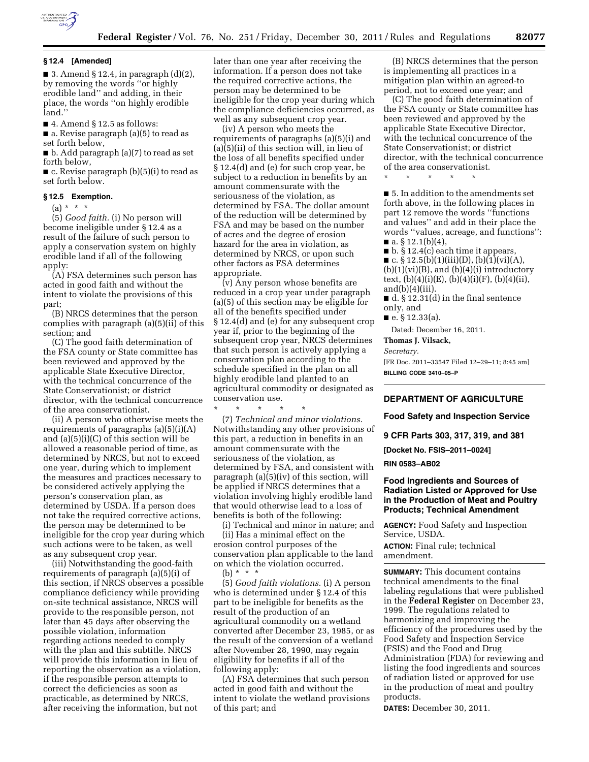

#### **§ 12.4 [Amended]**

■ 3. Amend § 12.4, in paragraph  $(d)(2)$ , by removing the words ''or highly erodible land'' and adding, in their place, the words ''on highly erodible land.''

 $\blacksquare$  4. Amend § 12.5 as follows:

■ a. Revise paragraph (a)(5) to read as set forth below,

■ b. Add paragraph (a)(7) to read as set forth below,

■ c. Revise paragraph (b)(5)(i) to read as set forth below.

#### **§ 12.5 Exemption.**

 $(a) * * * *$ 

(5) *Good faith.* (i) No person will become ineligible under § 12.4 as a result of the failure of such person to apply a conservation system on highly erodible land if all of the following apply:

(A) FSA determines such person has acted in good faith and without the intent to violate the provisions of this part;

(B) NRCS determines that the person complies with paragraph (a)(5)(ii) of this section; and

(C) The good faith determination of the FSA county or State committee has been reviewed and approved by the applicable State Executive Director, with the technical concurrence of the State Conservationist; or district director, with the technical concurrence of the area conservationist.

(ii) A person who otherwise meets the requirements of paragraphs (a)(5)(i)(A) and (a)(5)(i)(C) of this section will be allowed a reasonable period of time, as determined by NRCS, but not to exceed one year, during which to implement the measures and practices necessary to be considered actively applying the person's conservation plan, as determined by USDA. If a person does not take the required corrective actions, the person may be determined to be ineligible for the crop year during which such actions were to be taken, as well as any subsequent crop year.

(iii) Notwithstanding the good-faith requirements of paragraph (a)(5)(i) of this section, if NRCS observes a possible compliance deficiency while providing on-site technical assistance, NRCS will provide to the responsible person, not later than 45 days after observing the possible violation, information regarding actions needed to comply with the plan and this subtitle. NRCS will provide this information in lieu of reporting the observation as a violation, if the responsible person attempts to correct the deficiencies as soon as practicable, as determined by NRCS, after receiving the information, but not

later than one year after receiving the information. If a person does not take the required corrective actions, the person may be determined to be ineligible for the crop year during which the compliance deficiencies occurred, as well as any subsequent crop year.

(iv) A person who meets the requirements of paragraphs (a)(5)(i) and  $(a)(5)(ii)$  of this section will, in lieu of the loss of all benefits specified under § 12.4(d) and (e) for such crop year, be subject to a reduction in benefits by an amount commensurate with the seriousness of the violation, as determined by FSA. The dollar amount of the reduction will be determined by FSA and may be based on the number of acres and the degree of erosion hazard for the area in violation, as determined by NRCS, or upon such other factors as FSA determines appropriate.

(v) Any person whose benefits are reduced in a crop year under paragraph (a)(5) of this section may be eligible for all of the benefits specified under § 12.4(d) and (e) for any subsequent crop year if, prior to the beginning of the subsequent crop year, NRCS determines that such person is actively applying a conservation plan according to the schedule specified in the plan on all highly erodible land planted to an agricultural commodity or designated as conservation use.

\* \* \* \* \* (7) *Technical and minor violations.*  Notwithstanding any other provisions of this part, a reduction in benefits in an amount commensurate with the seriousness of the violation, as determined by FSA, and consistent with paragraph (a)(5)(iv) of this section, will be applied if NRCS determines that a violation involving highly erodible land that would otherwise lead to a loss of benefits is both of the following:

(i) Technical and minor in nature; and (ii) Has a minimal effect on the erosion control purposes of the conservation plan applicable to the land on which the violation occurred. (b) \* \* \*

(5) *Good faith violations.* (i) A person who is determined under § 12.4 of this part to be ineligible for benefits as the result of the production of an agricultural commodity on a wetland converted after December 23, 1985, or as the result of the conversion of a wetland after November 28, 1990, may regain eligibility for benefits if all of the following apply:

(A) FSA determines that such person acted in good faith and without the intent to violate the wetland provisions of this part; and

(B) NRCS determines that the person is implementing all practices in a mitigation plan within an agreed-to period, not to exceed one year; and

(C) The good faith determination of the FSA county or State committee has been reviewed and approved by the applicable State Executive Director, with the technical concurrence of the State Conservationist; or district director, with the technical concurrence of the area conservationist.

\* \* \* \* \*

■ 5. In addition to the amendments set forth above, in the following places in part 12 remove the words ''functions and values'' and add in their place the words ''values, acreage, and functions'':  $\blacksquare$  a. § 12.1(b)(4),

 $\blacksquare$  b. § 12.4(c) each time it appears,

■ c. § 12.5(b)(1)(iii)(D), (b)(1)(vi)(A),  $(b)(1)(vi)(B)$ , and  $(b)(4)(i)$  introductory text,  $(b)(4)(i)(E)$ ,  $(b)(4)(i)(F)$ ,  $(b)(4)(ii)$ ,  $and(b)(4)(iii)$ .

■ d. § 12.31(d) in the final sentence only, and

■ e. § 12.33(a).

Dated: December 16, 2011.

**Thomas J. Vilsack,** 

*Secretary.* 

[FR Doc. 2011–33547 Filed 12–29–11; 8:45 am] **BILLING CODE 3410–05–P** 

## **DEPARTMENT OF AGRICULTURE**

**Food Safety and Inspection Service** 

**9 CFR Parts 303, 317, 319, and 381** 

**[Docket No. FSIS–2011–0024]** 

**RIN 0583–AB02** 

## **Food Ingredients and Sources of Radiation Listed or Approved for Use in the Production of Meat and Poultry Products; Technical Amendment**

**AGENCY:** Food Safety and Inspection Service, USDA.

**ACTION:** Final rule; technical amendment.

**SUMMARY:** This document contains technical amendments to the final labeling regulations that were published in the **Federal Register** on December 23, 1999. The regulations related to harmonizing and improving the efficiency of the procedures used by the Food Safety and Inspection Service (FSIS) and the Food and Drug Administration (FDA) for reviewing and listing the food ingredients and sources of radiation listed or approved for use in the production of meat and poultry products.

**DATES:** December 30, 2011.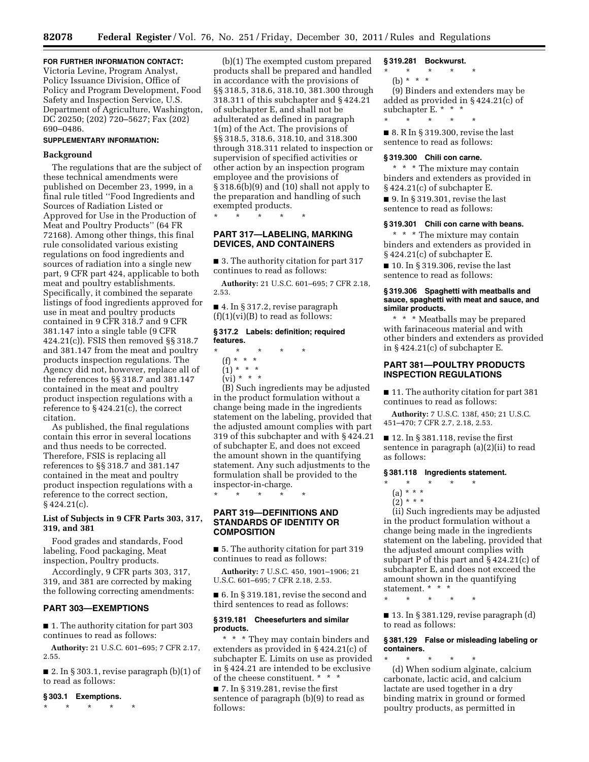# **FOR FURTHER INFORMATION CONTACT:**

Victoria Levine, Program Analyst, Policy Issuance Division, Office of Policy and Program Development, Food Safety and Inspection Service, U.S. Department of Agriculture, Washington, DC 20250; (202) 720–5627; Fax (202) 690–0486.

### **SUPPLEMENTARY INFORMATION:**

# **Background**

The regulations that are the subject of these technical amendments were published on December 23, 1999, in a final rule titled ''Food Ingredients and Sources of Radiation Listed or Approved for Use in the Production of Meat and Poultry Products'' (64 FR 72168). Among other things, this final rule consolidated various existing regulations on food ingredients and sources of radiation into a single new part, 9 CFR part 424, applicable to both meat and poultry establishments. Specifically, it combined the separate listings of food ingredients approved for use in meat and poultry products contained in 9 CFR 318.7 and 9 CFR 381.147 into a single table (9 CFR 424.21(c)). FSIS then removed §§ 318.7 and 381.147 from the meat and poultry products inspection regulations. The Agency did not, however, replace all of the references to §§ 318.7 and 381.147 contained in the meat and poultry product inspection regulations with a reference to § 424.21(c), the correct citation.

As published, the final regulations contain this error in several locations and thus needs to be corrected. Therefore, FSIS is replacing all references to §§ 318.7 and 381.147 contained in the meat and poultry product inspection regulations with a reference to the correct section,  $§$  424.21(c).

# **List of Subjects in 9 CFR Parts 303, 317, 319, and 381**

Food grades and standards, Food labeling, Food packaging, Meat inspection, Poultry products.

Accordingly, 9 CFR parts 303, 317, 319, and 381 are corrected by making the following correcting amendments:

# **PART 303—EXEMPTIONS**

■ 1. The authority citation for part 303 continues to read as follows:

**Authority:** 21 U.S.C. 601–695; 7 CFR 2.17, 2.55.

■ 2. In § 303.1, revise paragraph  $(b)(1)$  of to read as follows:

### **§ 303.1 Exemptions.**

\* \* \* \* \*

(b)(1) The exempted custom prepared products shall be prepared and handled in accordance with the provisions of §§ 318.5, 318.6, 318.10, 381.300 through 318.311 of this subchapter and § 424.21 of subchapter E, and shall not be adulterated as defined in paragraph 1(m) of the Act. The provisions of §§ 318.5, 318.6, 318.10, and 318.300 through 318.311 related to inspection or supervision of specified activities or other action by an inspection program employee and the provisions of § 318.6(b)(9) and (10) shall not apply to the preparation and handling of such exempted products.

\* \* \* \* \*

# **PART 317—LABELING, MARKING DEVICES, AND CONTAINERS**

■ 3. The authority citation for part 317 continues to read as follows:

**Authority:** 21 U.S.C. 601–695; 7 CFR 2.18, 2.53.

■ 4. In § 317.2, revise paragraph  $(f)(1)(vi)(B)$  to read as follows:

### **§ 317.2 Labels: definition; required features.**

- \* \* \* \* \*
	- (f) \* \* \*  $(1) * * * *$
	- $\overrightarrow{(vi)}$  \* \* \*
	-

(B) Such ingredients may be adjusted in the product formulation without a change being made in the ingredients statement on the labeling, provided that the adjusted amount complies with part 319 of this subchapter and with § 424.21 of subchapter E, and does not exceed the amount shown in the quantifying statement. Any such adjustments to the formulation shall be provided to the inspector-in-charge.

\* \* \* \* \*

# **PART 319—DEFINITIONS AND STANDARDS OF IDENTITY OR COMPOSITION**

■ 5. The authority citation for part 319 continues to read as follows:

**Authority:** 7 U.S.C. 450, 1901–1906; 21 U.S.C. 601–695; 7 CFR 2.18, 2.53.

■ 6. In § 319.181, revise the second and third sentences to read as follows:

### **§ 319.181 Cheesefurters and similar products.**

\* \* \* They may contain binders and extenders as provided in § 424.21(c) of subchapter E. Limits on use as provided in § 424.21 are intended to be exclusive of the cheese constituent. \* \* \*

■ 7. In § 319.281, revise the first sentence of paragraph (b)(9) to read as follows:

### **§ 319.281 Bockwurst.**

\* \* \* \* \*

(b) \* \* \*

(9) Binders and extenders may be added as provided in § 424.21(c) of subchapter E. \* \* \*

\* \* \* \* \*

■ 8. R In § 319.300, revise the last sentence to read as follows:

# **§ 319.300 Chili con carne.**

\* \* \* The mixture may contain binders and extenders as provided in § 424.21(c) of subchapter E.

■ 9. In § 319.301, revise the last sentence to read as follows:

### **§ 319.301 Chili con carne with beans.**

\* \* \* The mixture may contain binders and extenders as provided in § 424.21(c) of subchapter E.

■ 10. In § 319.306, revise the last sentence to read as follows:

## **§ 319.306 Spaghetti with meatballs and sauce, spaghetti with meat and sauce, and similar products.**

\* \* \* Meatballs may be prepared with farinaceous material and with other binders and extenders as provided in § 424.21(c) of subchapter E.

# **PART 381—POULTRY PRODUCTS INSPECTION REGULATIONS**

■ 11. The authority citation for part 381 continues to read as follows:

**Authority:** 7 U.S.C. 138f, 450; 21 U.S.C. 451–470; 7 CFR 2.7, 2.18, 2.53.

 $\blacksquare$  12. In § 381.118, revise the first sentence in paragraph (a)(2)(ii) to read as follows:

#### **§ 381.118 Ingredients statement.**

- \* \* \* \* \*
- (a) \* \* \*
- $(2) * * * *$

(ii) Such ingredients may be adjusted in the product formulation without a change being made in the ingredients statement on the labeling, provided that the adjusted amount complies with subpart P of this part and § 424.21(c) of subchapter E, and does not exceed the amount shown in the quantifying statement. \* \* \*

\* \* \* \* \*

■ 13. In § 381.129, revise paragraph (d) to read as follows:

### **§ 381.129 False or misleading labeling or containers.**

\* \* \* \* \* (d) When sodium alginate, calcium carbonate, lactic acid, and calcium lactate are used together in a dry binding matrix in ground or formed poultry products, as permitted in